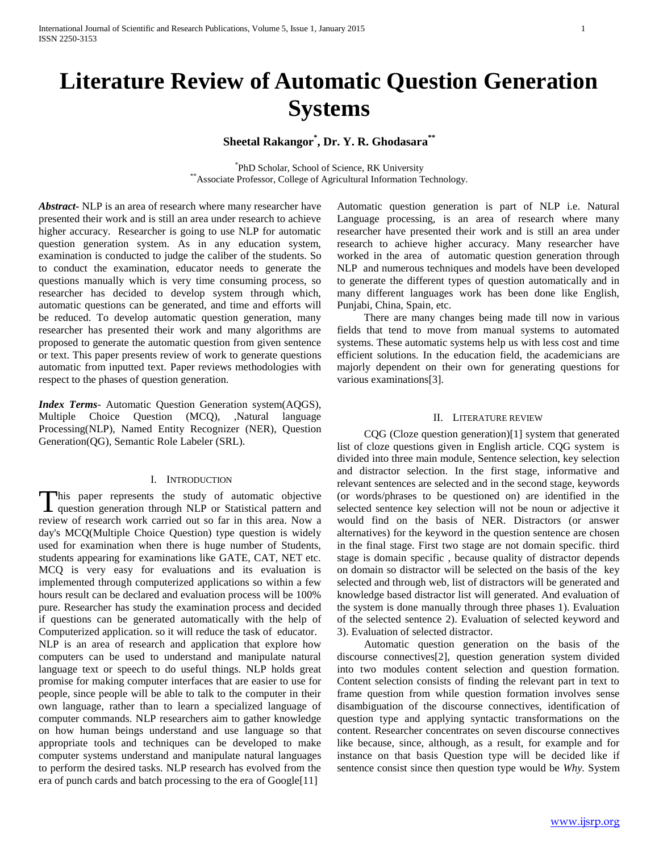# **Sheetal Rakangor\* , Dr. Y. R. Ghodasara\*\***

\* PhD Scholar, School of Science, RK University \*\*Associate Professor, College of Agricultural Information Technology.

*Abstract***-** NLP is an area of research where many researcher have presented their work and is still an area under research to achieve higher accuracy. Researcher is going to use NLP for automatic question generation system. As in any education system, examination is conducted to judge the caliber of the students. So to conduct the examination, educator needs to generate the questions manually which is very time consuming process, so researcher has decided to develop system through which, automatic questions can be generated, and time and efforts will be reduced. To develop automatic question generation, many researcher has presented their work and many algorithms are proposed to generate the automatic question from given sentence or text. This paper presents review of work to generate questions automatic from inputted text. Paper reviews methodologies with respect to the phases of question generation.

*Index Terms*- Automatic Question Generation system(AQGS), Multiple Choice Question (MCQ), ,Natural language Processing(NLP), Named Entity Recognizer (NER), Question Generation(QG), Semantic Role Labeler (SRL).

## I. INTRODUCTION

his paper represents the study of automatic objective This paper represents the study of automatic objective question generation through NLP or Statistical pattern and review of research work carried out so far in this area. Now a day's MCQ(Multiple Choice Question) type question is widely used for examination when there is huge number of Students, students appearing for examinations like GATE, CAT, NET etc. MCQ is very easy for evaluations and its evaluation is implemented through computerized applications so within a few hours result can be declared and evaluation process will be 100% pure. Researcher has study the examination process and decided if questions can be generated automatically with the help of Computerized application. so it will reduce the task of educator. NLP is an area of research and application that explore how computers can be used to understand and manipulate natural language text or speech to do useful things. NLP holds great promise for making computer interfaces that are easier to use for people, since people will be able to talk to the computer in their own language, rather than to learn a specialized language of computer commands. NLP researchers aim to gather knowledge on how human beings understand and use language so that appropriate tools and techniques can be developed to make computer systems understand and manipulate natural languages to perform the desired tasks. NLP research has evolved from the era of punch cards and batch processing to the era of Google[11]

Automatic question generation is part of NLP i.e. Natural Language processing, is an area of research where many researcher have presented their work and is still an area under research to achieve higher accuracy. Many researcher have worked in the area of automatic question generation through NLP and numerous techniques and models have been developed to generate the different types of question automatically and in many different languages work has been done like English, Punjabi, China, Spain, etc.

 There are many changes being made till now in various fields that tend to move from manual systems to automated systems. These automatic systems help us with less cost and time efficient solutions. In the education field, the academicians are majorly dependent on their own for generating questions for various examinations[3].

### II. LITERATURE REVIEW

 CQG (Cloze question generation)[1] system that generated list of cloze questions given in English article. CQG system is divided into three main module, Sentence selection, key selection and distractor selection. In the first stage, informative and relevant sentences are selected and in the second stage, keywords (or words/phrases to be questioned on) are identified in the selected sentence key selection will not be noun or adjective it would find on the basis of NER. Distractors (or answer alternatives) for the keyword in the question sentence are chosen in the final stage. First two stage are not domain specific. third stage is domain specific , because quality of distractor depends on domain so distractor will be selected on the basis of the key selected and through web, list of distractors will be generated and knowledge based distractor list will generated. And evaluation of the system is done manually through three phases 1). Evaluation of the selected sentence 2). Evaluation of selected keyword and 3). Evaluation of selected distractor.

 Automatic question generation on the basis of the discourse connectives[2], question generation system divided into two modules content selection and question formation. Content selection consists of finding the relevant part in text to frame question from while question formation involves sense disambiguation of the discourse connectives, identification of question type and applying syntactic transformations on the content. Researcher concentrates on seven discourse connectives like because, since, although, as a result, for example and for instance on that basis Question type will be decided like if sentence consist since then question type would be *Why.* System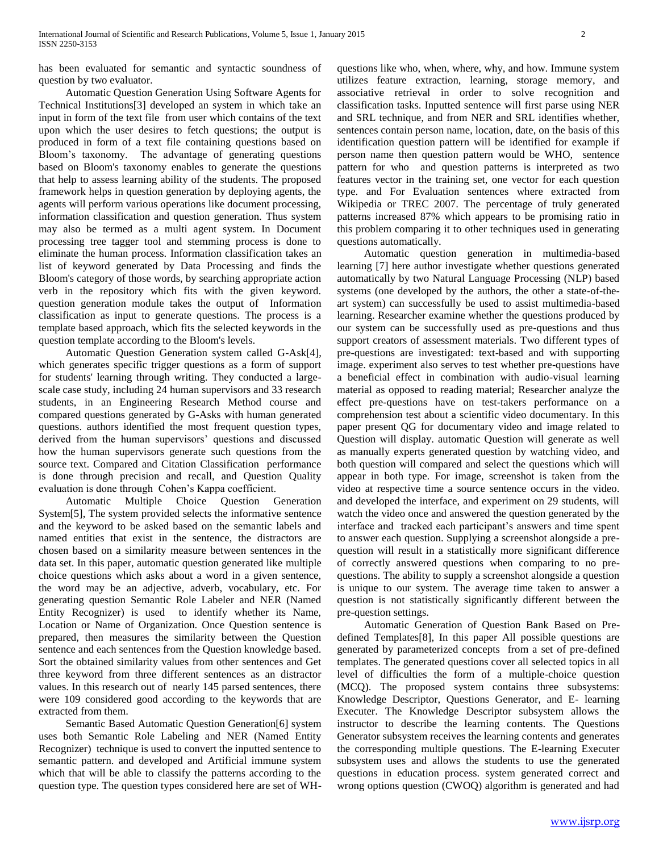has been evaluated for semantic and syntactic soundness of question by two evaluator.

 Automatic Question Generation Using Software Agents for Technical Institutions[3] developed an system in which take an input in form of the text file from user which contains of the text upon which the user desires to fetch questions; the output is produced in form of a text file containing questions based on Bloom's taxonomy. The advantage of generating questions based on Bloom's taxonomy enables to generate the questions that help to assess learning ability of the students. The proposed framework helps in question generation by deploying agents, the agents will perform various operations like document processing, information classification and question generation. Thus system may also be termed as a multi agent system. In Document processing tree tagger tool and stemming process is done to eliminate the human process. Information classification takes an list of keyword generated by Data Processing and finds the Bloom's category of those words, by searching appropriate action verb in the repository which fits with the given keyword. question generation module takes the output of Information classification as input to generate questions. The process is a template based approach, which fits the selected keywords in the question template according to the Bloom's levels.

 Automatic Question Generation system called G-Ask[4], which generates specific trigger questions as a form of support for students' learning through writing. They conducted a largescale case study, including 24 human supervisors and 33 research students, in an Engineering Research Method course and compared questions generated by G-Asks with human generated questions. authors identified the most frequent question types, derived from the human supervisors' questions and discussed how the human supervisors generate such questions from the source text. Compared and Citation Classification performance is done through precision and recall, and Question Quality evaluation is done through Cohen's Kappa coefficient.

 Automatic Multiple Choice Question Generation System[5], The system provided selects the informative sentence and the keyword to be asked based on the semantic labels and named entities that exist in the sentence, the distractors are chosen based on a similarity measure between sentences in the data set. In this paper, automatic question generated like multiple choice questions which asks about a word in a given sentence, the word may be an adjective, adverb, vocabulary, etc. For generating question Semantic Role Labeler and NER (Named Entity Recognizer) is used to identify whether its Name, Location or Name of Organization. Once Question sentence is prepared, then measures the similarity between the Question sentence and each sentences from the Question knowledge based. Sort the obtained similarity values from other sentences and Get three keyword from three different sentences as an distractor values. In this research out of nearly 145 parsed sentences, there were 109 considered good according to the keywords that are extracted from them.

 Semantic Based Automatic Question Generation[6] system uses both Semantic Role Labeling and NER (Named Entity Recognizer) technique is used to convert the inputted sentence to semantic pattern. and developed and Artificial immune system which that will be able to classify the patterns according to the question type. The question types considered here are set of WH- questions like who, when, where, why, and how. Immune system utilizes feature extraction, learning, storage memory, and associative retrieval in order to solve recognition and classification tasks. Inputted sentence will first parse using NER and SRL technique, and from NER and SRL identifies whether, sentences contain person name, location, date, on the basis of this identification question pattern will be identified for example if person name then question pattern would be WHO, sentence pattern for who and question patterns is interpreted as two features vector in the training set, one vector for each question type. and For Evaluation sentences where extracted from Wikipedia or TREC 2007. The percentage of truly generated patterns increased 87% which appears to be promising ratio in this problem comparing it to other techniques used in generating questions automatically.

 Automatic question generation in multimedia-based learning [7] here author investigate whether questions generated automatically by two Natural Language Processing (NLP) based systems (one developed by the authors, the other a state-of-theart system) can successfully be used to assist multimedia-based learning. Researcher examine whether the questions produced by our system can be successfully used as pre-questions and thus support creators of assessment materials. Two different types of pre-questions are investigated: text-based and with supporting image. experiment also serves to test whether pre-questions have a beneficial effect in combination with audio-visual learning material as opposed to reading material; Researcher analyze the effect pre-questions have on test-takers performance on a comprehension test about a scientific video documentary. In this paper present QG for documentary video and image related to Question will display. automatic Question will generate as well as manually experts generated question by watching video, and both question will compared and select the questions which will appear in both type. For image, screenshot is taken from the video at respective time a source sentence occurs in the video. and developed the interface, and experiment on 29 students, will watch the video once and answered the question generated by the interface and tracked each participant's answers and time spent to answer each question. Supplying a screenshot alongside a prequestion will result in a statistically more significant difference of correctly answered questions when comparing to no prequestions. The ability to supply a screenshot alongside a question is unique to our system. The average time taken to answer a question is not statistically significantly different between the pre-question settings.

 Automatic Generation of Question Bank Based on Predefined Templates[8], In this paper All possible questions are generated by parameterized concepts from a set of pre-defined templates. The generated questions cover all selected topics in all level of difficulties the form of a multiple-choice question (MCQ). The proposed system contains three subsystems: Knowledge Descriptor, Questions Generator, and E- learning Executer. The Knowledge Descriptor subsystem allows the instructor to describe the learning contents. The Questions Generator subsystem receives the learning contents and generates the corresponding multiple questions. The E-learning Executer subsystem uses and allows the students to use the generated questions in education process. system generated correct and wrong options question (CWOQ) algorithm is generated and had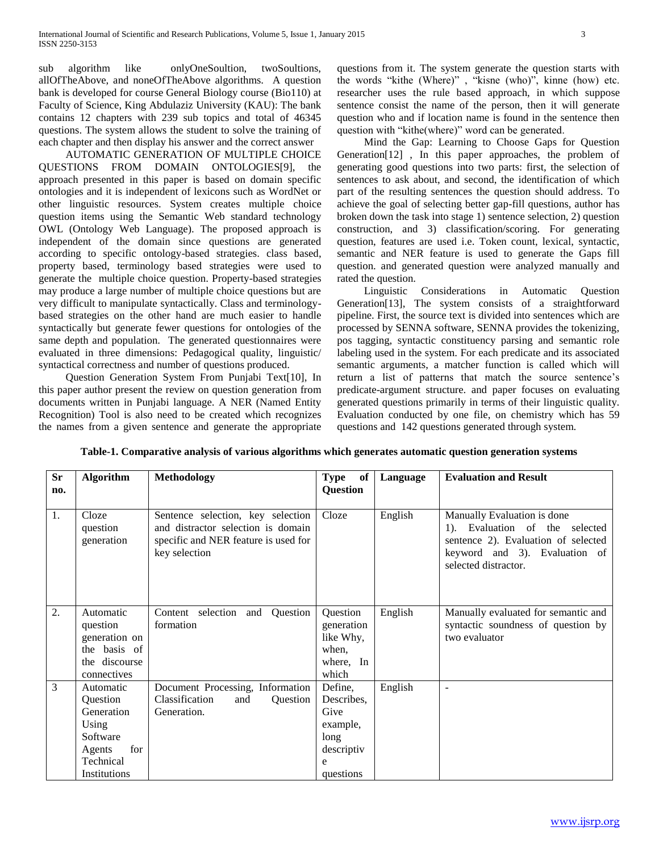sub algorithm like onlyOneSoultion, twoSoultions, allOfTheAbove, and noneOfTheAbove algorithms. A question bank is developed for course General Biology course (Bio110) at Faculty of Science, King Abdulaziz University (KAU): The bank contains 12 chapters with 239 sub topics and total of 46345 questions. The system allows the student to solve the training of each chapter and then display his answer and the correct answer

 AUTOMATIC GENERATION OF MULTIPLE CHOICE QUESTIONS FROM DOMAIN ONTOLOGIES[9], the approach presented in this paper is based on domain specific ontologies and it is independent of lexicons such as WordNet or other linguistic resources. System creates multiple choice question items using the Semantic Web standard technology OWL (Ontology Web Language). The proposed approach is independent of the domain since questions are generated according to specific ontology-based strategies. class based, property based, terminology based strategies were used to generate the multiple choice question. Property-based strategies may produce a large number of multiple choice questions but are very difficult to manipulate syntactically. Class and terminologybased strategies on the other hand are much easier to handle syntactically but generate fewer questions for ontologies of the same depth and population. The generated questionnaires were evaluated in three dimensions: Pedagogical quality, linguistic/ syntactical correctness and number of questions produced.

 Question Generation System From Punjabi Text[10], In this paper author present the review on question generation from documents written in Punjabi language. A NER (Named Entity Recognition) Tool is also need to be created which recognizes the names from a given sentence and generate the appropriate questions from it. The system generate the question starts with the words "kithe (Where)" , "kisne (who)", kinne (how) etc. researcher uses the rule based approach, in which suppose sentence consist the name of the person, then it will generate question who and if location name is found in the sentence then question with "kithe(where)" word can be generated.

 Mind the Gap: Learning to Choose Gaps for Question Generation[12] , In this paper approaches, the problem of generating good questions into two parts: first, the selection of sentences to ask about, and second, the identification of which part of the resulting sentences the question should address. To achieve the goal of selecting better gap-fill questions, author has broken down the task into stage 1) sentence selection, 2) question construction, and 3) classification/scoring. For generating question, features are used i.e. Token count, lexical, syntactic, semantic and NER feature is used to generate the Gaps fill question. and generated question were analyzed manually and rated the question.

 Linguistic Considerations in Automatic Question Generation[13], The system consists of a straightforward pipeline. First, the source text is divided into sentences which are processed by SENNA software, SENNA provides the tokenizing, pos tagging, syntactic constituency parsing and semantic role labeling used in the system. For each predicate and its associated semantic arguments, a matcher function is called which will return a list of patterns that match the source sentence's predicate-argument structure. and paper focuses on evaluating generated questions primarily in terms of their linguistic quality. Evaluation conducted by one file, on chemistry which has 59 questions and 142 questions generated through system.

| <b>Sr</b> | <b>Algorithm</b>                                                                                       | <b>Methodology</b>                                                                                                               | <b>Type</b><br>of                                                                 | Language | <b>Evaluation and Result</b>                                                                                                                                  |
|-----------|--------------------------------------------------------------------------------------------------------|----------------------------------------------------------------------------------------------------------------------------------|-----------------------------------------------------------------------------------|----------|---------------------------------------------------------------------------------------------------------------------------------------------------------------|
| no.       |                                                                                                        |                                                                                                                                  | Question                                                                          |          |                                                                                                                                                               |
| 1.        | Cloze<br>question<br>generation                                                                        | Sentence selection, key selection<br>and distractor selection is domain<br>specific and NER feature is used for<br>key selection | Cloze                                                                             | English  | Manually Evaluation is done<br>1). Evaluation of the selected<br>sentence 2). Evaluation of selected<br>keyword and 3). Evaluation of<br>selected distractor. |
| 2.        | Automatic<br>question<br>generation on<br>the basis of<br>the discourse<br>connectives                 | Content selection and Question<br>formation                                                                                      | Question<br>generation<br>like Why,<br>when,<br>where, In<br>which                | English  | Manually evaluated for semantic and<br>syntactic soundness of question by<br>two evaluator                                                                    |
| 3         | Automatic<br>Question<br>Generation<br>Using<br>Software<br>for<br>Agents<br>Technical<br>Institutions | Document Processing, Information<br>Classification<br>and<br>Question<br>Generation.                                             | Define,<br>Describes,<br>Give<br>example,<br>long<br>descriptiv<br>e<br>questions | English  | $\overline{\phantom{a}}$                                                                                                                                      |

**Table-1. Comparative analysis of various algorithms which generates automatic question generation systems**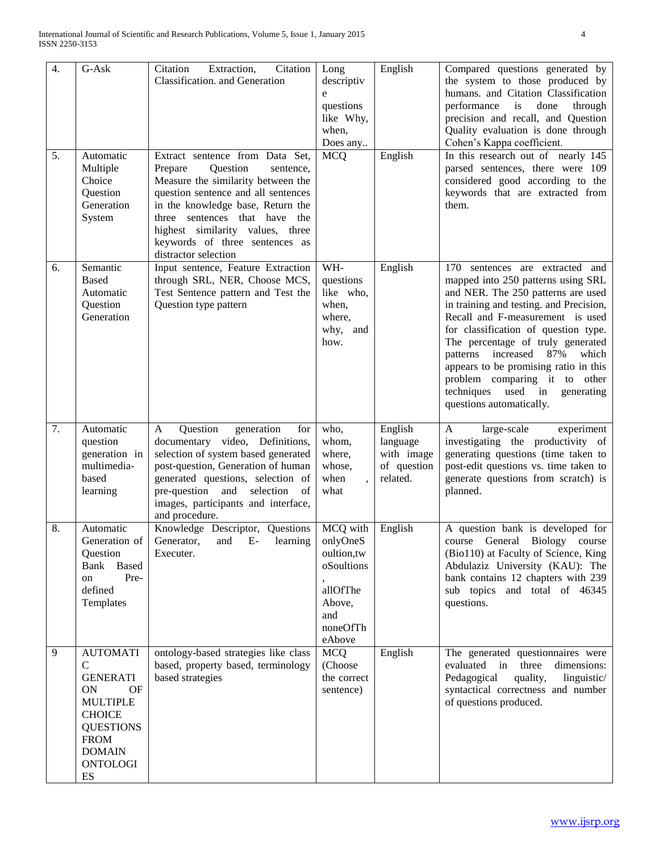| 4. | G-Ask                                                                                                                                                                                  | Extraction,<br>Citation<br>Citation<br>Classification. and Generation                                                                                                                                                                                                                                                   | Long<br>descriptiv<br>e<br>questions<br>like Why,<br>when,<br>Does any                               | English                                                      | Compared questions generated by<br>the system to those produced by<br>humans. and Citation Classification<br>performance<br>through<br>is<br>done<br>precision and recall, and Question<br>Quality evaluation is done through<br>Cohen's Kappa coefficient.                                                                                                                                                                                             |
|----|----------------------------------------------------------------------------------------------------------------------------------------------------------------------------------------|-------------------------------------------------------------------------------------------------------------------------------------------------------------------------------------------------------------------------------------------------------------------------------------------------------------------------|------------------------------------------------------------------------------------------------------|--------------------------------------------------------------|---------------------------------------------------------------------------------------------------------------------------------------------------------------------------------------------------------------------------------------------------------------------------------------------------------------------------------------------------------------------------------------------------------------------------------------------------------|
| 5. | Automatic<br>Multiple<br>Choice<br>Question<br>Generation<br>System                                                                                                                    | Extract sentence from Data Set,<br>Question<br>Prepare<br>sentence,<br>Measure the similarity between the<br>question sentence and all sentences<br>in the knowledge base, Return the<br>three sentences that have<br>the<br>highest similarity values, three<br>keywords of three sentences as<br>distractor selection | <b>MCQ</b>                                                                                           | English                                                      | In this research out of nearly 145<br>parsed sentences, there were 109<br>considered good according to the<br>keywords that are extracted from<br>them.                                                                                                                                                                                                                                                                                                 |
| 6. | Semantic<br><b>Based</b><br>Automatic<br>Question<br>Generation                                                                                                                        | Input sentence, Feature Extraction<br>through SRL, NER, Choose MCS,<br>Test Sentence pattern and Test the<br>Question type pattern                                                                                                                                                                                      | WH-<br>questions<br>like who,<br>when,<br>where,<br>why,<br>and<br>how.                              | English                                                      | 170<br>sentences are extracted and<br>mapped into 250 patterns using SRL<br>and NER. The 250 patterns are used<br>in training and testing. and Precision,<br>Recall and F-measurement is used<br>for classification of question type.<br>The percentage of truly generated<br>patterns increased 87%<br>which<br>appears to be promising ratio in this<br>problem comparing it to other<br>techniques used in<br>generating<br>questions automatically. |
| 7. | Automatic<br>question<br>generation in<br>multimedia-<br>based<br>learning                                                                                                             | Question<br>generation<br>A<br>for<br>documentary video, Definitions,<br>selection of system based generated<br>post-question, Generation of human<br>generated questions, selection of<br>pre-question and selection<br>- of<br>images, participants and interface,<br>and procedure.                                  | who,<br>whom,<br>where,<br>whose,<br>when<br>what                                                    | English<br>language<br>with image<br>of question<br>related. | large-scale<br>A<br>experiment<br>investigating the productivity of<br>generating questions (time taken to<br>post-edit questions vs. time taken to<br>generate questions from scratch) is<br>planned.                                                                                                                                                                                                                                                  |
| 8. | Automatic<br>Generation of  <br>Question<br>Bank Based<br>Pre-<br>on<br>defined<br>Templates                                                                                           | Knowledge Descriptor, Questions<br>Generator, and E- learning<br>Executer.                                                                                                                                                                                                                                              | MCQ with<br>onlyOneS<br>oultion, tw<br>oSoultions<br>allOfThe<br>Above,<br>and<br>noneOfTh<br>eAbove | English                                                      | A question bank is developed for<br>course General Biology course<br>(Bio110) at Faculty of Science, King<br>Abdulaziz University (KAU): The<br>bank contains 12 chapters with 239<br>sub topics and total of 46345<br>questions.                                                                                                                                                                                                                       |
| 9  | <b>AUTOMATI</b><br>$\mathsf{C}$<br><b>GENERATI</b><br><b>ON</b><br>OF<br><b>MULTIPLE</b><br><b>CHOICE</b><br><b>QUESTIONS</b><br><b>FROM</b><br><b>DOMAIN</b><br><b>ONTOLOGI</b><br>ES | ontology-based strategies like class<br>based, property based, terminology<br>based strategies                                                                                                                                                                                                                          | <b>MCQ</b><br>(Choose<br>the correct<br>sentence)                                                    | English                                                      | The generated questionnaires were<br>evaluated in three dimensions:<br>Pedagogical<br>quality,<br>linguistic/<br>syntactical correctness and number<br>of questions produced.                                                                                                                                                                                                                                                                           |